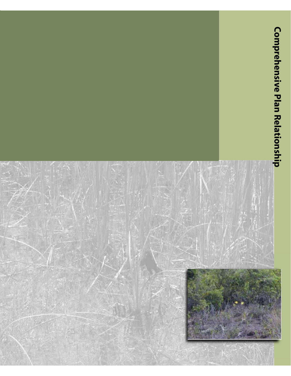# **Comprehensive Plan Relationship**

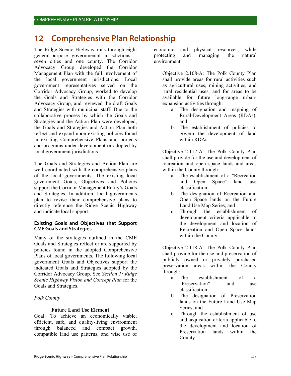# **12 Comprehensive Plan Relationship**

The Ridge Scenic Highway runs through eight general-purpose governmental jurisdictions – seven cities and one county. The Corridor Advocacy Group developed the Corridor Management Plan with the full involvement of the local government jurisdictions. Local government representatives served on the Corridor Advocacy Group, worked to develop the Goals and Strategies with the Corridor Advocacy Group, and reviewed the draft Goals and Strategies with municipal staff. Due to the collaborative process by which the Goals and Strategies and the Action Plan were developed, the Goals and Strategies and Action Plan both reflect and expand upon existing policies found in existing Comprehensive Plans and projects and programs under development or adopted by local government jurisdictions.

The Goals and Strategies and Action Plan are well coordinated with the comprehensive plans of the local governments. The existing local government Goals, Objectives and Policies support the Corridor Management Entity's Goals and Strategies. In addition, local governments plan to revise their comprehensive plans to directly reference the Ridge Scenic Highway and indicate local support.

# **Existing Goals and Objectives that Support CME Goals and Strategies**

Many of the strategies outlined in the CME Goals and Strategies reflect or are supported by policies found in the adopted Comprehensive Plans of local governments. The following local government Goals and Objectives support the indicated Goals and Strategies adopted by the Corridor Advocacy Group. See *Section 1: Ridge Scenic Highway Vision and Concept Plan* for the Goals and Strategies.

# *Polk County*

# **Future Land Use Element**

Goal: To achieve an economically viable, efficient, safe, and quality-living environment through balanced and compact growth, compatible land use patterns, and wise use of economic and physical resources, while protecting and managing the natural environment.

Objective 2.108-A: The Polk County Plan shall provide areas for rural activities such as agricultural uses, mining activities, and rural residential uses, and for areas to be available for future long-range urbanexpansion activities through:

- a. The designation and mapping of Rural-Development Areas (RDAs), and
- b. The establishment of policies to govern the development of land within RDAs.

Objective 2.117-A: The Polk County Plan shall provide for the use and development of recreation and open space lands and areas within the County through:

- a. The establishment of a "Recreation and Open Space" land use classification;
- b. The designation of Recreation and Open Space lands on the Future Land Use Map Series; and
- c. Through the establishment of development criteria applicable to the development and location of Recreation and Open Space lands within the County.

Objective 2.118-A: The Polk County Plan shall provide for the use and preservation of publicly owned or privately purchased preservation areas within the County through:

- a. The establishment of a "Preservation" land use classification;
- b. The designation of Preservation lands on the Future Land Use Map Series; and
- c. Through the establishment of use and acquisition criteria applicable to the development and location of Preservation lands within the County.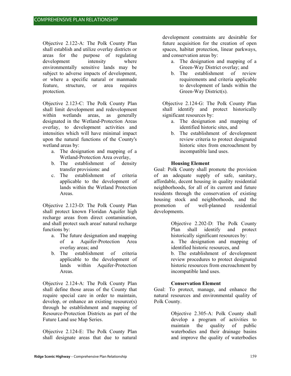Objective 2.122-A: The Polk County Plan shall establish and utilize overlay districts or areas for the purpose of regulating development intensity where environmentally sensitive lands may be subject to adverse impacts of development, or where a specific natural or manmade feature, structure, or area requires protection.

Objective 2.123-C: The Polk County Plan shall limit development and redevelopment within wetlands areas, as generally designated in the Wetland-Protection Areas overlay, to development activities and intensities which will have minimal impact upon the natural functions of the County's wetland areas by:

- a. The designation and mapping of a Wetland-Protection Area overlay,
- b. The establishment of density transfer provisions: and
- c. The establishment of criteria applicable to the development of lands within the Wetland Protection Areas.

Objective 2.123-D: The Polk County Plan shall protect known Floridan Aquifer high recharge areas from direct contamination, and shall protect such areas' natural recharge functions by:

- a. The future designation and mapping of a Aquifer-Protection Area overlay areas; and
- b. The establishment of criteria applicable to the development of lands within Aquifer-Protection Areas.

Objective 2.124-A: The Polk County Plan shall define those areas of the County that require special care in order to maintain, develop, or enhance an existing resource(s) through he establishment and mapping of Resource-Protection Districts as part of the Future Land use Map Series.

Objective 2.124-E: The Polk County Plan shall designate areas that due to natural

development constraints are desirable for future acquisition for the creation of open spaces, habitat protection, linear parkways, and conservation areas by:

- a. The designation and mapping of a Green-Way District overlay; and
- b. The establishment of review requirements and criteria applicable to development of lands within the Green-Way District(s).

Objective 2.124-G: The Polk County Plan shall identify and protect historically significant resources by:

- a. The designation and mapping of identified historic sites, and
- b. The establishment of development review criteria to protect designated historic sites from encroachment by incompatible land uses.

# **Housing Element**

Goal: Polk County shall promote the provision of an adequate supply of safe, sanitary, affordable, decent housing in quality residential neighborhoods, for all of its current and future residents through the conservation of existing housing stock and neighborhoods, and the promotion of well-planned residential developments.

> Objective 2.202-D: The Polk County Plan shall identify and protect historically significant resources by:

> a. The designation and mapping of identified historic resources, and

> b. The establishment of development review procedures to protect designated historic resources from encroachment by incompatible land uses.

# **Conservation Element**

Goal: To protect, manage, and enhance the natural resources and environmental quality of Polk County.

> Objective 2.305-A: Polk County shall develop a program of activities to maintain the quality of public waterbodies and their drainage basins and improve the quality of waterbodies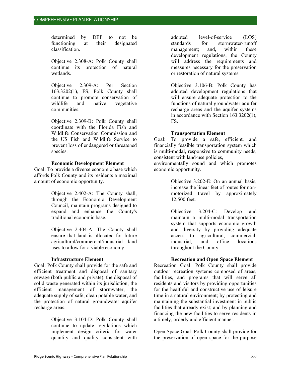determined by DEP to not be functioning at their designated classification.

Objective 2.308-A: Polk County shall continue its protection of natural wetlands.

Objective 2.309-A: Per Section 163.3202(1), FS, Polk County shall continue to promote conservation of wildlife and native vegetative communities.

Objective 2.309-B: Polk County shall coordinate with the Florida Fish and Wildlife Conservation Commission and the US Fish and Wildlife Service to prevent loss of endangered or threatened species.

#### **Economic Development Element**

Goal: To provide a diverse economic base which affords Polk County and its residents a maximal amount of economic opportunity.

> Objective 2.402-A: The County shall, through the Economic Development Council, maintain programs designed to expand and enhance the County's traditional economic base.

> Objective 2.404-A: The County shall ensure that land is allocated for future agricultural/commercial/industrial land uses to allow for a viable economy.

# **Infrastructure Element**

Goal: Polk County shall provide for the safe and efficient treatment and disposal of sanitary sewage (both public and private), the disposal of solid waste generated within its jurisdiction, the efficient management of stormwater, the adequate supply of safe, clean potable water, and the protection of natural groundwater aquifer recharge areas.

> Objective 3.104-D: Polk County shall continue to update regulations which implement design criteria for water quantity and quality consistent with

adopted level-of-service (LOS) standards for stormwater-runoff management; and, within these development regulations, the County will address the requirements and measures necessary for the preservation or restoration of natural systems.

Objective 3.106-B: Polk County has adopted development regulations that will ensure adequate protection to the functions of natural groundwater aquifer recharge areas and the aquifer systems in accordance with Section 163.3202(1), FS.

#### **Transportation Element**

Goal: To provide a safe, efficient, and financially feasible transportation system which is multi-modal, responsive to community needs, consistent with land-use policies,

environmentally sound and which promotes economic opportunity.

> Objective 3.202-E: On an annual basis, increase the linear feet of routes for nonmotorized travel by approximately 12,500 feet.

Objective 3.204-C: Develop and maintain a multi-modal transportation system that supports economic growth and diversity by providing adequate access to agricultural, commercial, industrial, and office locations throughout the County.

# **Recreation and Open Space Element**

Recreation Goal: Polk County shall provide outdoor recreation systems composed of areas, facilities, and programs that will serve all residents and visitors by providing opportunities for the healthful and constructive use of leisure time in a natural environment; by protecting and maintaining the substantial investment in public facilities that already exist; and by planning and financing the new facilities to serve residents in a timely, orderly and efficient manner.

Open Space Goal: Polk County shall provide for the preservation of open space for the purpose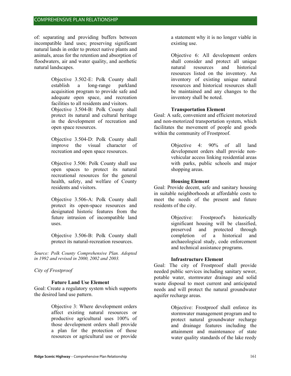of: separating and providing buffers between incompatible land uses; preserving significant natural lands in order to protect native plants and animals, areas for the retention and absorption of floodwaters, air and water quality, and aesthetic natural landscapes.

> Objective 3.502-E: Polk County shall establish a long-range parkland acquisition program to provide safe and adequate open space, and recreation facilities to all residents and visitors.

> Objective 3.504-B: Polk County shall protect its natural and cultural heritage in the development of recreation and open space resources.

> Objective 3.504-D: Polk County shall improve the visual character of recreation and open space resources.

> Objective 3.506: Polk County shall use open spaces to protect its natural recreational resources for the general health, safety, and welfare of County residents and visitors.

> Objective 3.506-A: Polk County shall protect its open-space resources and designated historic features from the future intrusion of incompatible land uses.

Objective 3.506-B: Polk County shall protect its natural-recreation resources.

*Source: Polk County Comprehensive Plan. Adopted in 1992 and revised in 2000, 2002 and 2003.* 

*City of Frostproof*

# **Future Land Use Element**

Goal: Create a regulatory system which supports the desired land use pattern.

> Objective 3: Where development orders affect existing natural resources or productive agricultural uses 100% of those development orders shall provide a plan for the protection of those resources or agricultural use or provide

a statement why it is no longer viable in existing use.

Objective 6: All development orders shall consider and protect all unique natural resources and historical resources listed on the inventory. An inventory of existing unique natural resources and historical resources shall be maintained and any changes to the inventory shall be noted.

# **Transportation Element**

Goal: A safe, convenient and efficient motorized and non-motorized transportation system, which facilitates the movement of people and goods within the community of Frostproof.

> Objective 4: 90% of all land development orders shall provide nonvehicular access linking residential areas with parks, public schools and major shopping areas.

# **Housing Element**

Goal: Provide decent, safe and sanitary housing in suitable neighborhoods at affordable costs to meet the needs of the present and future residents of the city.

> Objective: Frostproof's historically significant housing will be classified, preserved and protected through completion of a historical and archaeological study, code enforcement and technical assistance programs.

# **Infrastructure Element**

Goal: The city of Frostproof shall provide needed public services including sanitary sewer, potable water, stormwater drainage and solid waste disposal to meet current and anticipated needs and will protect the natural groundwater aquifer recharge areas.

> Objective: Frostproof shall enforce its stormwater management program and to protect natural groundwater recharge and drainage features including the attainment and maintenance of state water quality standards of the lake reedy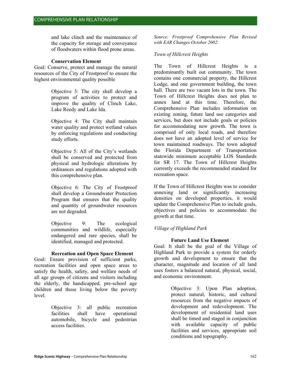and lake clinch and the maintenance of the capacity for storage and conveyance of floodwaters within flood prone areas.

#### **Conservation Element**

Goal: Conserve, protect and manage the natural resources of the City of Frostproof to ensure the highest environmental quality possible

> Objective 3: The city shall develop a program of activities to protect and improve the quality of Clinch Lake, Lake Reedy and Lake Ida.

> Objective 4: The City shall maintain water quality and protect wetland values by enforcing regulations and conducting study efforts.

> Objective 5: All of the City's wetlands shall be conserved and protected from physical and hydrologic alterations by ordinances and regulations adopted with this comprehensive plan.

> Objective 6: The City of Frostproof shall develop a Groundwater Protection Program that ensures that the quality and quantity of groundwater resources are not degraded.

> Objective 9: The ecological communities and wildlife, especially endangered and rare species, shall be identified, managed and protected.

# **Recreation and Open Space Element**

Goal: Ensure provision of sufficient parks, recreation facilities and open space areas to satisfy the health, safety, and welfare needs of all age groups of citizens and visitors including the elderly, the handicapped, pre-school age children and those living below the poverty level.

> Objective 3: all public recreation facilities shall have operational automobile, bicycle and pedestrian access facilities.

*Source: Frostproof Comprehensive Plan Revised with EAR Changes October 2002.* 

# *Town of Hillcrest Heights*

The Town of Hillcrest Heights is a predominantly built out community. The town contains one commercial property, the Hillcrest Lodge, and one government building, the town hall. There are two vacant lots in the town. The Town of Hillcrest Heights does not plan to annex land at this time. Therefore, the Comprehensive Plan includes information on existing zoning, future land use categories and services, but does not include goals or policies for accommodating new growth. The town is comprised of only local roads, and therefore does not have an adopted level of service for town maintained roadways. The town adopted the Florida Department of Transportation statewide minimum acceptable LOS Standards for SR 17. The Town of Hillcrest Heights currently exceeds the recommended standard for recreation space.

If the Town of Hillcrest Heights was to consider annexing land or significantly increasing densities on developed properties, it would update the Comprehensive Plan to include goals, objectives and policies to accommodate the growth at that time.

# *Village of Highland Park*

# **Future Land Use Element**

Goal: It shall be the goal of the Village of Highland Park to provide a system for orderly growth and development to ensure that the character, magnitude and location of all land uses fosters a balanced natural, physical, social, and economic environment.

> Objective 3: Upon Plan adoption, protect natural, historic, and cultural resources from the negative impacts of development and redevelopment. The development of residential land uses shall be timed and staged in conjunction with available capacity of public facilities and services, appropriate soil conditions and topography.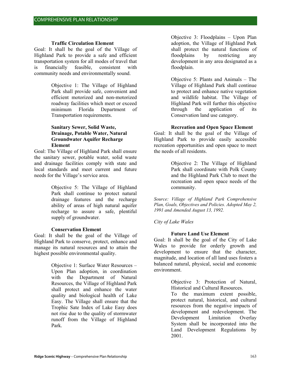#### **Traffic Circulation Element**

Goal: It shall be the goal of the Village of Highland Park to provide a safe and efficient transportation system for all modes of travel that is financially feasible, consistent with community needs and environmentally sound.

> Objective 1: The Village of Highland Park shall provide safe, convenient and efficient motorized and non-motorized roadway facilities which meet or exceed minimum Florida Department of Transportation requirements.

#### **Sanitary Sewer, Solid Waste, Drainage, Potable Water, Natural Groundwater Aquifer Recharge Element**

Goal: The Village of Highland Park shall ensure the sanitary sewer, potable water, solid waste and drainage facilities comply with state and local standards and meet current and future needs for the Village's service area.

> Objective 5: The Village of Highland Park shall continue to protect natural drainage features and the recharge ability of areas of high natural aquifer recharge to assure a safe, plentiful supply of groundwater.

#### **Conservation Element**

Goal: It shall be the goal of the Village of Highland Park to conserve, protect, enhance and manage its natural resources and to attain the highest possible environmental quality.

> Objective 1: Surface Water Resources – Upon Plan adoption, in coordination with the Department of Natural Resources, the Village of Highland Park shall protect and enhance the water quality and biological health of Lake Easy. The Village shall ensure that the Trophic Sate Index of Lake Easy does not rise due to the quality of stormwater runoff from the Village of Highland Park.

Objective 3: Floodplains – Upon Plan adoption, the Village of Highland Park shall protect the natural functions of floodplains by restricting any development in any area designated as a floodplain.

Objective 5: Plants and Animals – The Village of Highland Park shall continue to protect and enhance native vegetation and wildlife habitat. The Village of Highland Park will further this objective through the application of its Conservation land use category.

#### **Recreation and Open Space Element**

Goal: It shall be the goal of the Village of Highland Park to provide easily accessible recreation opportunities and open space to meet the needs of all residents.

> Objective 2: The Village of Highland Park shall coordinate with Polk County and the Highland Park Club to meet the recreation and open space needs of the community.

*Source: Village of Highland Park Comprehensive Plan, Goals, Objectives and Policies. Adopted May 2, 1991 and Amended August 13, 1992.* 

#### *City of Lake Wales*

#### **Future Land Use Element**

Goal: It shall be the goal of the City of Lake Wales to provide for orderly growth and development to ensure that the character, magnitude, and location of all land uses fosters a balanced natural, physical, social and economic environment.

> Objective 3: Protection of Natural, Historical and Cultural Resources.

To the maximum extent possible, protect natural, historical, and cultural resources from the negative impacts of development and redevelopment. The Development Limitation Overlay System shall be incorporated into the Land Development Regulations by 2001.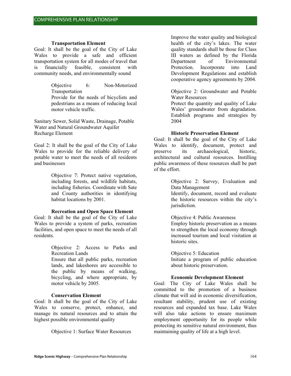#### **Transportation Element**

Goal: It shall be the goal of the City of Lake Wales to provide a safe and efficient transportation system for all modes of travel that is financially feasible, consistent with community needs, and environmentally sound

> Objective 6: Non-Motorized Transportation

> Provide for the needs of bicyclists and pedestrians as a means of reducing local motor vehicle traffic.

Sanitary Sewer, Solid Waste, Drainage, Potable Water and Natural Groundwater Aquifer Recharge Element

Goal 2: It shall be the goal of the City of Lake Wales to provide for the reliable delivery of potable water to meet the needs of all residents and businesses

> Objective 7: Protect native vegetation, including forests, and wildlife habitats, including fisheries. Coordinate with Sate and County authorities in identifying habitat locations by 2001.

#### **Recreation and Open Space Element**

Goal: It shall be the goal of the City of Lake Wales to provide a system of parks, recreation facilities, and open space to meet the needs of all residents.

> Objective 2: Access to Parks and Recreation Lands

> Ensure that all public parks, recreation lands, and lakeshores are accessible to the public by means of walking, bicycling, and where appropriate, by motor vehicle by 2005.

#### **Conservation Element**

Goal: It shall be the goal of the City of Lake Wales to conserve, protect, enhance, and manage its natural resources and to attain the highest possible environmental quality

Objective 1: Surface Water Resources

Improve the water quality and biological health of the city's lakes. The water quality standards shall be those for Class III waters as defined by the Florida Department of Environmental Protection. Incorporate into Land Development Regulations and establish cooperative agency agreements by 2004.

Objective 2: Groundwater and Potable Water Resources

Protect the quantity and quality of Lake Wales' groundwater from degradation. Establish programs and strategies by 2004

#### **Historic Preservation Element**

Goal: It shall be the goal of the City of Lake Wales to identify, document, protect and preserve its archaeological, historic, architectural and cultural resources. Instilling public awareness of these resources shall be part of the effort.

> Objective 2: Survey, Evaluation and Data Management

> Identify, document, record and evaluate the historic resources within the city's jurisdiction.

> Objective 4: Public Awareness Employ historic preservation as a means to strengthen the local economy through increased tourism and local visitation at historic sites.

> Objective 5: Education Initiate a program of public education about historic preservation.

# **Economic Development Element**

Goal: The City of Lake Wales shall be committed to the promotion of a business climate that will aid in economic diversification, resultant stability, prudent use of existing resources and expanded tax base. Lake Wales will also take actions to ensure maximum employment opportunity for its people while protecting its sensitive natural environment, thus maintaining quality of life at a high level.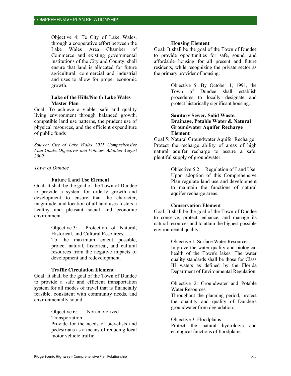Objective 4: Te City of Lake Wales, through a cooperative effort between the Lake Wales Area Chamber of Commerce and existing governmental institutions of the City and County, shall ensure that land is allocated for future agricultural, commercial and industrial and uses to allow for proper economic growth.

#### **Lake of the Hills/North Lake Wales Master Plan**

Goal: To achieve a viable, safe and quality living environment through balanced growth, compatible land use patterns, the prudent use of physical resources, and the efficient expenditure of public funds

*Source: City of Lake Wales 2015 Comprehensive Plan Goals, Objectives and Policies. Adopted August 2000.* 

*Town of Dundee* 

#### **Future Land Use Element**

Goal: It shall be the goal of the Town of Dundee to provide a system for orderly growth and development to ensure that the character, magnitude, and location of all land uses fosters a healthy and pleasant social and economic environment.

> Objective 3: Protection of Natural, Historical, and Cultural Resources To the maximum extent possible, protect natural, historical, and cultural resources from the negative impacts of development and redevelopment.

#### **Traffic Circulation Element**

Goal: It shall be the goal of the Town of Dundee to provide a safe and efficient transportation system for all modes of travel that is financially feasible, consistent with community needs, and environmentally sound.

> Objective 6: Non-motorized Transportation Provide for the needs of bicyclists and pedestrians as a means of reducing local motor vehicle traffic.

#### **Housing Element**

Goal: It shall be the goal of the Town of Dundee to provide opportunities for safe, sound, and affordable housing for all present and future residents, while recognizing the private sector as the primary provider of housing.

> Objective 5: By October 1, 1991, the Town of Dundee shall establish procedures to locally designate and protect historically significant housing.

# **Sanitary Sewer, Solid Waste, Drainage, Potable Water & Natural Groundwater Aquifer Recharge Element**

Goal 5: Natural Groundwater Aquifer Recharge Protect the recharge ability of areas of high natural aquifer recharge to assure a safe, plentiful supply of groundwater.

> Objective 5.2: Regulation of Land Use Upon adoption of this Comprehensive Plan regulate land use and development to maintain the functions of natural aquifer recharge areas.

#### **Conservation Element**

Goal: It shall be the goal of the Town of Dundee to conserve, protect, enhance, and manage its natural resources and to attain the highest possible environmental quality.

> Objective 1: Surface Water Resources Improve the water quality and biological health of the Town's lakes. The water quality standards shall be those for Class III waters as defined by the Florida Department of Environmental Regulation.

> Objective 2: Groundwater and Potable Water Resources

> Throughout the planning period, protect the quantity and quality of Dundee's groundwater from degradation.

#### Objective 3: Floodplains

Protect the natural hydrologic and ecological functions of floodplains.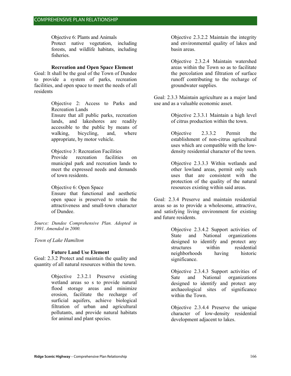Objective 6: Plants and Animals

Protect native vegetation, including forests, and wildlife habitats, including fisheries.

#### **Recreation and Open Space Element**

Goal: It shall be the goal of the Town of Dundee to provide a system of parks, recreation facilities, and open space to meet the needs of all residents

> Objective 2: Access to Parks and Recreation Lands Ensure that all public parks, recreation lands, and lakeshores are readily accessible to the public by means of walking, bicycling, and, where appropriate, by motor vehicle.

Objective 3: Recreation Facilities

Provide recreation facilities on municipal park and recreation lands to meet the expressed needs and demands of town residents.

Objective 6: Open Space

Ensure that functional and aesthetic open space is preserved to retain the attractiveness and small-town character of Dundee.

*Source: Dundee Comprehensive Plan. Adopted in 1991. Amended in 2000.* 

*Town of Lake Hamilton* 

#### **Future Land Use Element**

Goal: 2.3.2 Protect and maintain the quality and quantity of all natural resources within the town.

> Objective 2.3.2.1 Preserve existing wetland areas so s to provide natural flood storage areas and minimize erosion, facilitate the recharge of surficial aquifers, achieve biological filtration of urban and agricultural pollutants, and provide natural habitats for animal and plant species.

Objective 2.3.2.2 Maintain the integrity and environmental quality of lakes and basin areas.

Objective 2.3.2.4 Maintain watershed areas within the Town so as to facilitate the percolation and filtration of surface runoff contributing to the recharge of groundwater supplies.

Goal: 2.3.3 Maintain agriculture as a major land use and as a valuable economic asset.

> Objective 2.3.3.1 Maintain a high level of citrus production within the town.

> Objective 2.3.3.2 Permit the establishment of non-citrus agricultural uses which are compatible with the lowdensity residential character of the town.

> Objective 2.3.3.3 Within wetlands and other lowland areas, permit only such uses that are consistent with the protection of the quality of the natural resources existing within said areas.

Goal: 2.3.4 Preserve and maintain residential areas so as to provide a wholesome, attractive, and satisfying living environment for existing and future residents.

> Objective 2.3.4.2 Support activities of State and National organizations designed to identify and protect any structures within residential neighborhoods having historic significance.

> Objective 2.3.4.3 Support activities of Sate and National organizations designed to identify and protect any archaeological sites of significance within the Town.

> Objective 2.3.4.4 Preserve the unique character of low-density residential development adjacent to lakes.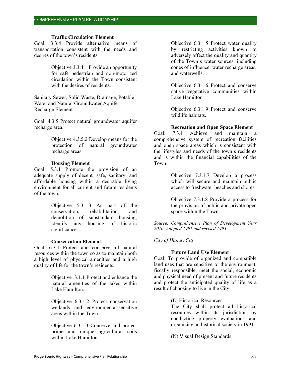#### **Traffic Circulation Element**

Goal: 3.3.4 Provide alternative means of transportation consistent with the needs and desires of the town's residents.

> Objective 3.3.4.1 Provide an opportunity for safe pedestrian and non-motorized circulation within the Town consistent with the desires of residents.

Sanitary Sewer, Solid Waste, Drainage, Potable Water and Natural Groundwater Aquifer Recharge Element

Goal: 4.3.5 Protect natural groundwater aquifer recharge area.

> Objective 4.3.5.2 Develop means for the protection of natural groundwater recharge areas.

#### **Housing Element**

Goal: 5.3.1 Promote the provision of an adequate supply of decent, safe, sanitary, and affordable housing within a desirable living environment for all current and future residents of the town.

> Objective 5.3.1.3 As part of the conservation, rehabilitation, and demolition of substandard housing, identify any housing of historic significance.

#### **Conservation Element**

Goal: 6.3.1 Protect and conserve all natural resources within the town so as to maintain both a high level of physical amenities and a high quality of life for the town's residents.

> Objective .3.1.1 Protect and enhance the natural amenities of the lakes within Lake Hamilton.

> Objective 6.3.1.2 Protect conservation wetlands and environmental-sensitive areas within the Town.

> Objective 6.3.1.3 Conserve and protect prime and unique agricultural soils within Lake Hamilton.

Objective 6.3.1.5 Protect water quality by restricting activities known to adversely affect the quality and quantity of the Town's water sources, including cones of influence, water recharge areas, and waterwells.

Objective 6.3.1.6 Protect and conserve native vegetative communities within Lake Hamilton.

Objective 6.3.1.9 Protect and conserve wildlife habitats.

#### **Recreation and Open Space Element**

Goal: 7.3.1 Achieve and maintain a comprehensive system of recreation facilities and open space areas which is consistent with the lifestyles and needs of the town's residents and is within the financial capabilities of the Town.

> Objective 7.3.1.7 Develop a process which will secure and maintain public access to freshwater beaches and shores.

> Objective 7.3.1.8 Provide a process for the provision of public and private open space within the Town.

*Source: Comprehensive Plan of Development Year 2010. Adopted 1991 and revised 1993.* 

#### *City of Haines City*

#### **Future Land Use Element**

Goal: To provide of organized and compatible land uses that are sensitive to the environment, fiscally responsible, meet the social, economic and physical need of present and future residents and protect the anticipated quality of life as a result of choosing to live in the City.

(E) Historical Resources

The City shall protect all historical resources within its jurisdiction by conducting property evaluations and organizing an historical society in 1991.

(N) Visual Design Standards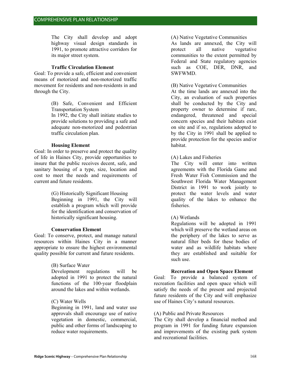The City shall develop and adopt highway visual design standards in 1991, to promote attractive corridors for its major street system.

#### **Traffic Circulation Element**

Goal: To provide a safe, efficient and convenient means of motorized and non-motorized traffic movement for residents and non-residents in and through the City.

> (B) Safe, Convenient and Efficient Transportation System

> In 1992, the City shall initiate studies to provide solutions to providing a safe and adequate non-motorized and pedestrian traffic circulation plan.

#### **Housing Element**

Goal: In order to preserve and protect the quality of life in Haines City, provide opportunities to insure that the public receives decent, safe, and sanitary housing of a type, size, location and cost to meet the needs and requirements of current and future residents.

> (G) Historically Significant Housing Beginning in 1991, the City will establish a program which will provide for the identification and conservation of historically significant housing.

# **Conservation Element**

Goal: To conserve, protect, and manage natural resources within Haines City in a manner appropriate to ensure the highest environmental quality possible for current and future residents.

# (B) Surface Water

Development regulations will be adopted in 1991 to protect the natural functions of the 100-year floodplain around the lakes and within wetlands.

# (C) Water Wells

Beginning in 1991, land and water use approvals shall encourage use of native vegetation in domestic, commercial, public and other forms of landscaping to reduce water requirements.

#### (A) Native Vegetative Communities

As lands are annexed, the City will protect all native vegetative communities to the extent permitted by Federal and State regulatory agencies such as COE, DER, DNR, and SWFWMD.

# (B) Native Vegetative Communities

At the time lands are annexed into the City, an evaluation of such properties shall be conducted by the City and property owner to determine if rare, endangered, threatened and special concern species and their habitats exist on site and if so, regulations adopted to by the City in 1991 shall be applied to provide protection for the species and/or habitat.

# (A) Lakes and Fisheries

The City will enter into written agreements with the Florida Game and Fresh Water Fish Commission and the Southwest Florida Water Management District in 1991 to work jointly to protect the water levels and water quality of the lakes to enhance the fisheries.

# (A) Wetlands

Regulations will be adopted in 1991 which will preserve the wetland areas on the periphery of the lakes to serve as natural filter beds for these bodies of water and as wildlife habitats where they are established and suitable for such use.

# **Recreation and Open Space Element**

Goal: To provide a balanced system of recreation facilities and open space which will satisfy the needs of the present and projected future residents of the City and will emphasize use of Haines City's natural resources.

# (A) Public and Private Resources

The City shall develop a financial method and program in 1991 for funding future expansion and improvements of the existing park system and recreational facilities.